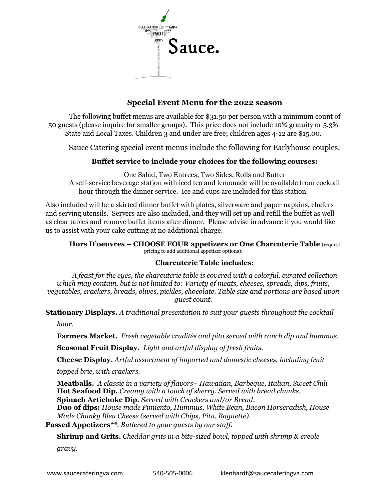

# **Special Event Menu for the 2022 season**

The following buffet menus are available for \$31.50 per person with a minimum count of 50 guests (please inquire for smaller groups). This price does not include 10% gratuity or 5.3% State and Local Taxes. Children 3 and under are free; children ages 4-12 are \$15.00.

Sauce Catering special event menus include the following for Earlyhouse couples:

# **Buffet service to include your choices for the following courses:**

One Salad, Two Entrees, Two Sides, Rolls and Butter A self-service beverage station with iced tea and lemonade will be available from cocktail hour through the dinner service. Ice and cups are included for this station.

Also included will be a skirted dinner buffet with plates, silverware and paper napkins, chafers and serving utensils. Servers are also included, and they will set up and refill the buffet as well as clear tables and remove buffet items after dinner. Please advise in advance if you would like us to assist with your cake cutting at no additional charge.

#### **Hors D'oeuvres – CHOOSE FOUR appetizers or One Charcuterie Table** (request pricing to add additional appetizer options):

#### **Charcuterie Table includes:**

*A feast for the eyes, the charcuterie table is covered with a colorful, curated collection which may contain, but is not limited to: Variety of meats, cheeses, spreads, dips, fruits, vegetables, crackers, breads, olives, pickles, chocolate. Table size and portions are based upon guest count.*

**Stationary Displays.** *A traditional presentation to suit your guests throughout the cocktail* 

*hour.*

**Farmers Market.** *Fresh vegetable crudités and pita served with ranch dip and hummus.*

**Seasonal Fruit Display.** *Light and artful display of fresh fruits.*

**Cheese Display.** *Artful assortment of imported and domestic cheeses, including fruit* 

*topped brie, with crackers.*

**Meatballs.** *A classic in a variety of flavors– Hawaiian, Barbeque, Italian, Sweet Chili* **Hot Seafood Dip.** *Creamy with a touch of sherry. Served with bread chunks.* **Spinach Artichoke Dip.** *Served with Crackers and/or Bread.*

**Duo of dips:** *House made Pimiento, Hummus, White Bean, Bacon Horseradish, House Made Chunky Bleu Cheese (served with Chips, Pita, Baguette).*

**Passed Appetizers***\*\*. Butlered to your guests by our staff.*

**Shrimp and Grits.** *Cheddar grits in a bite-sized bowl, topped with shrimp & creole* 

*gravy.*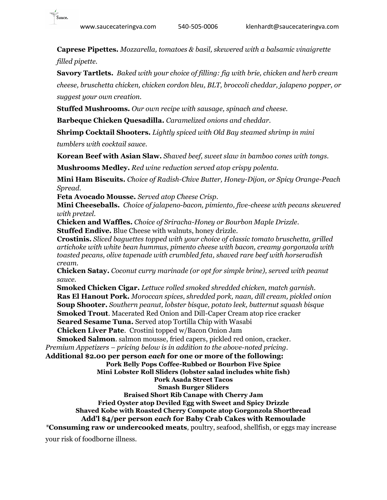

**Caprese Pipettes.** *Mozzarella, tomatoes & basil, skewered with a balsamic vinaigrette filled pipette.*

**Savory Tartlets.** *Baked with your choice of filling: fig with brie, chicken and herb cream* 

*cheese, bruschetta chicken, chicken cordon bleu, BLT, broccoli cheddar, jalapeno popper, or suggest your own creation.*

**Stuffed Mushrooms.** *Our own recipe with sausage, spinach and cheese.*

**Barbeque Chicken Quesadilla.** *Caramelized onions and cheddar.* 

**Shrimp Cocktail Shooters.** *Lightly spiced with Old Bay steamed shrimp in mini* 

*tumblers with cocktail sauce.*

**Korean Beef with Asian Slaw***. Shaved beef, sweet slaw in bamboo cones with tongs.*

**Mushrooms Medley.** *Red wine reduction served atop crispy polenta.*

**Mini Ham Biscuits.** *Choice of Radish-Chive Butter, Honey-Dijon, or Spicy Orange-Peach Spread.*

**Feta Avocado Mousse.** *Served atop Cheese Crisp.*

**Mini Cheeseballs.** *Choice of jalapeno-bacon, pimiento, five-cheese with pecans skewered with pretzel.*

**Chicken and Waffles.** *Choice of Sriracha-Honey or Bourbon Maple Drizzle.*

**Stuffed Endive.** Blue Cheese with walnuts, honey drizzle.

**Crostinis.** *Sliced baguettes topped with your choice of classic tomato bruschetta, grilled artichoke with white bean hummus, pimento cheese with bacon, creamy gorgonzola with toasted pecans, olive tapenade with crumbled feta, shaved rare beef with horseradish cream.*

**Chicken Satay.** *Coconut curry marinade (or opt for simple brine), served with peanut sauce.*

**Smoked Chicken Cigar.** *Lettuce rolled smoked shredded chicken, match garnish.*  **Ras El Hanout Pork.** *Moroccan spices, shredded pork, naan, dill cream, pickled onion* **Soup Shooter.** *Southern peanut, lobster bisque, potato leek, butternut squash bisque* **Smoked Trout**. Macerated Red Onion and Dill-Caper Cream atop rice cracker **Seared Sesame Tuna.** Served atop Tortilla Chip with Wasabi

**Chicken Liver Pate**. Crostini topped w/Bacon Onion Jam

 **Smoked Salmon**. salmon mousse, fried capers, pickled red onion, cracker. *Premium Appetizers – pricing below is in addition to the above-noted pricing.*

**Additional \$2.00 per person** *each* **for one or more of the following: Pork Belly Pops Coffee-Rubbed or Bourbon Five Spice**

**Mini Lobster Roll Sliders (lobster salad includes white fish)**

**Pork Asada Street Tacos**

**Smash Burger Sliders**

**Braised Short Rib Canape with Cherry Jam**

**Fried Oyster atop Deviled Egg with Sweet and Spicy Drizzle**

**Shaved Kobe with Roasted Cherry Compote atop Gorgonzola Shortbread**

# **Add'l \$4/per person** *each* **for Baby Crab Cakes with Remoulade**

*\****Consuming raw or undercooked meats***,* poultry, seafood, shellfish, or eggs may increase

your risk of foodborne illness.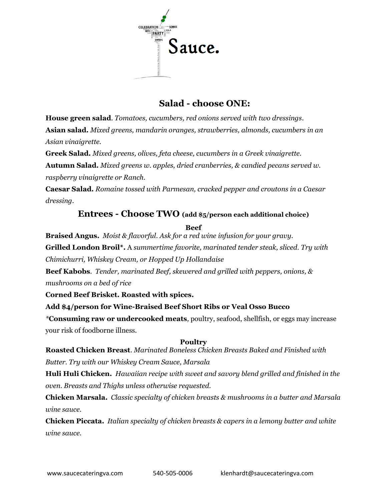

# **Salad - choose ONE:**

**House green salad**. *Tomatoes, cucumbers, red onions served with two dressings.* **Asian salad.** *Mixed greens, mandarin oranges, strawberries, almonds, cucumbers in an Asian vinaigrette.*

**Greek Salad.** *Mixed greens, olives, feta cheese, cucumbers in a Greek vinaigrette.*

**Autumn Salad.** *Mixed greens w. apples, dried cranberries, & candied pecans served w. raspberry vinaigrette or Ranch.*

**Caesar Salad.** *Romaine tossed with Parmesan, cracked pepper and croutons in a Caesar dressing.*

# **Entrees - Choose TWO (add \$5/person each additional choice)**

**Beef**

**Braised Angus.** *Moist & flavorful. Ask for a red wine infusion for your gravy.* 

**Grilled London Broil\*.** A *summertime favorite, marinated tender steak, sliced. Try with* 

*Chimichurri, Whiskey Cream, or Hopped Up Hollandaise*

**Beef Kabobs**. *Tender, marinated Beef, skewered and grilled with peppers, onions, & mushrooms on a bed of rice*

**Corned Beef Brisket. Roasted with spices.** 

**Add \$4/person for Wine-Braised Beef Short Ribs or Veal Osso Bucco**

*\****Consuming raw or undercooked meats***,* poultry, seafood, shellfish, or eggs may increase your risk of foodborne illness.

# **Poultry**

**Roasted Chicken Breast**. *Marinated Boneless Chicken Breasts Baked and Finished with Butter. Try with our Whiskey Cream Sauce, Marsala*

**Huli Huli Chicken.** *Hawaiian recipe with sweet and savory blend grilled and finished in the oven. Breasts and Thighs unless otherwise requested.*

**Chicken Marsala.** *Classic specialty of chicken breasts & mushrooms in a butter and Marsala wine sauce.*

**Chicken Piccata.** *Italian specialty of chicken breasts & capers in a lemony butter and white wine sauce.*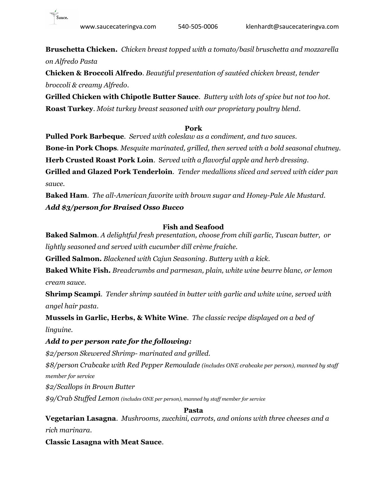

**Bruschetta Chicken.** *Chicken breast topped with a tomato/basil bruschetta and mozzarella on Alfredo Pasta*

**Chicken & Broccoli Alfredo**. *Beautiful presentation of sautéed chicken breast, tender broccoli & creamy Alfredo*.

**Grilled Chicken with Chipotle Butter Sauce***. Buttery with lots of spice but not too hot.* **Roast Turkey**. *Moist turkey breast seasoned with our proprietary poultry blend.*

#### **Pork**

**Pulled Pork Barbeque**. *Served with coleslaw as a condiment, and two sauces.* **Bone-in Pork Chops***. Mesquite marinated, grilled, then served with a bold seasonal chutney.* **Herb Crusted Roast Pork Loin**. S*erved with a flavorful apple and herb dressing.* **Grilled and Glazed Pork Tenderloin***. Tender medallions sliced and served with cider pan sauce.*

**Baked Ham**. *The all-American favorite with brown sugar and Honey-Pale Ale Mustard. Add \$3/person for Braised Osso Bucco*

#### **Fish and Seafood**

**Baked Salmon**. *A delightful fresh presentation, choose from chili garlic, Tuscan butter, or lightly seasoned and served with cucumber dill crème fraiche.*

**Grilled Salmon.** *Blackened with Cajun Seasoning. Buttery with a kick.*

**Baked White Fish.** *Breadcrumbs and parmesan, plain, white wine beurre blanc, or lemon cream sauce.*

**Shrimp Scampi**. *Tender shrimp sautéed in butter with garlic and white wine, served with angel hair pasta.*

**Mussels in Garlic, Herbs, & White Wine**. *The classic recipe displayed on a bed of linguine.*

#### *Add to per person rate for the following:*

*\$2/person Skewered Shrimp- marinated and grilled.*

*\$8/person Crabcake with Red Pepper Remoulade (includes ONE crabcake per person), manned by staff member for service*

*\$2/Scallops in Brown Butter*

*\$9/Crab Stuffed Lemon (includes ONE per person), manned by staff member for service*

**Pasta**

**Vegetarian Lasagna**. *Mushrooms, zucchini, carrots, and onions with three cheeses and a rich marinara.*

**Classic Lasagna with Meat Sauce**.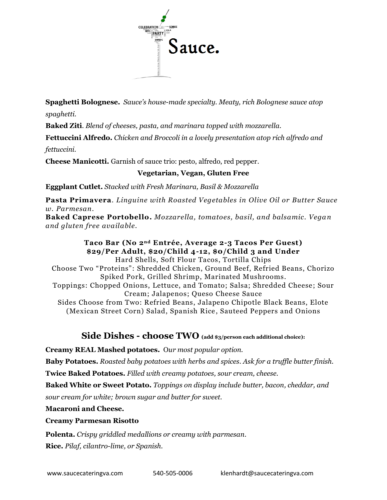

**Spaghetti Bolognese.** *Sauce's house-made specialty. Meaty, rich Bolognese sauce atop spaghetti.*

**Baked Ziti**. *Blend of cheeses, pasta, and marinara topped with mozzarella.*

**Fettuccini Alfredo.** *Chicken and Broccoli in a lovely presentation atop rich alfredo and fettuccini.*

**Cheese Manicotti.** Garnish of sauce trio: pesto, alfredo, red pepper.

#### **Vegetarian, Vegan, Gluten Free**

**Eggplant Cutlet.** *Stacked with Fresh Marinara, Basil & Mozzarella*

**Pasta Primavera**. *Linguine with Roasted Vegetables in Olive Oil or Butter Sauce w. Parmesan.*

**Baked Caprese Portobello.** *Mozzarella, tomatoes, basil, and balsamic. Vegan and gluten free available.*

#### **Taco Bar (No 2nd Entrée, Average 2-3 Tacos Per Guest) \$29/Per Adult, \$20/Child 4-12, \$0/Child 3 and Under** Hard Shells, Soft Flour Tacos, Tortilla Chips

Choose Two "Proteins": Shredded Chicken, Ground Beef, Refried Beans, Chorizo Spiked Pork, Grilled Shrimp, Marinated Mushrooms. Toppings: Chopped Onions, Lettuce, and Tomato; Salsa; Shredded Cheese; Sour Cream; Jalapenos; Queso Cheese Sauce Sides Choose from Two: Refried Beans, Jalapeno Chipotle Black Beans, Elote (Mexican Street Corn) Salad, Spanish Rice , Sauteed Peppers and Onions

# **Side Dishes - choose TWO (add \$3/person each additional choice):**

**Creamy REAL Mashed potatoes.** O*ur most popular option.*

**Baby Potatoes.** *Roasted baby potatoes with herbs and spices. Ask for a truffle butter finish.*

**Twice Baked Potatoes.** *Filled with creamy potatoes, sour cream, cheese.* 

**Baked White or Sweet Potato***. Toppings on display include butter, bacon, cheddar, and* 

*sour cream for white; brown sugar and butter for sweet.* 

**Macaroni and Cheese.**

# **Creamy Parmesan Risotto**

**Polenta.** *Crispy griddled medallions or creamy with parmesan*.

**Rice.** *Pilaf, cilantro-lime, or Spanish.*